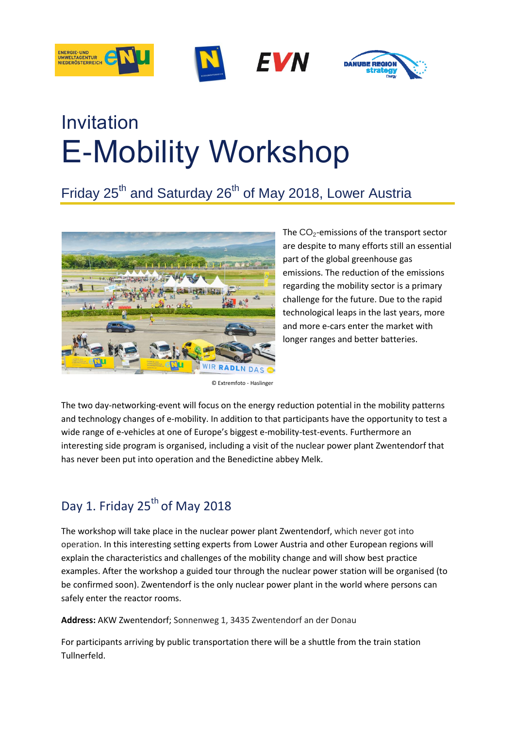



# Invitation E-Mobility Workshop

# Friday 25<sup>th</sup> and Saturday 26<sup>th</sup> of May 2018, Lower Austria



The CO<sub>2</sub>-emissions of the transport sector are despite to many efforts still an essential part of the global greenhouse gas emissions. The reduction of the emissions regarding the mobility sector is a primary challenge for the future. Due to the rapid technological leaps in the last years, more and more e-cars enter the market with longer ranges and better batteries.

© Extremfoto - Haslinger

The two day-networking-event will focus on the energy reduction potential in the mobility patterns and technology changes of e-mobility. In addition to that participants have the opportunity to test a wide range of e-vehicles at one of Europe's biggest e-mobility-test-events. Furthermore an interesting side program is organised, including a visit of the nuclear power plant Zwentendorf that has never been put into operation and the Benedictine abbey Melk.

### Day 1. Friday 25<sup>th</sup> of May 2018

The workshop will take place in the nuclear power plant Zwentendorf, which never got into operation. In this interesting setting experts from Lower Austria and other European regions will explain the characteristics and challenges of the mobility change and will show best practice examples. After the workshop a guided tour through the nuclear power station will be organised (to be confirmed soon). Zwentendorf is the only nuclear power plant in the world where persons can safely enter the reactor rooms.

**Address:** AKW Zwentendorf; Sonnenweg 1, 3435 Zwentendorf an der Donau

For participants arriving by public transportation there will be a shuttle from the train station Tullnerfeld.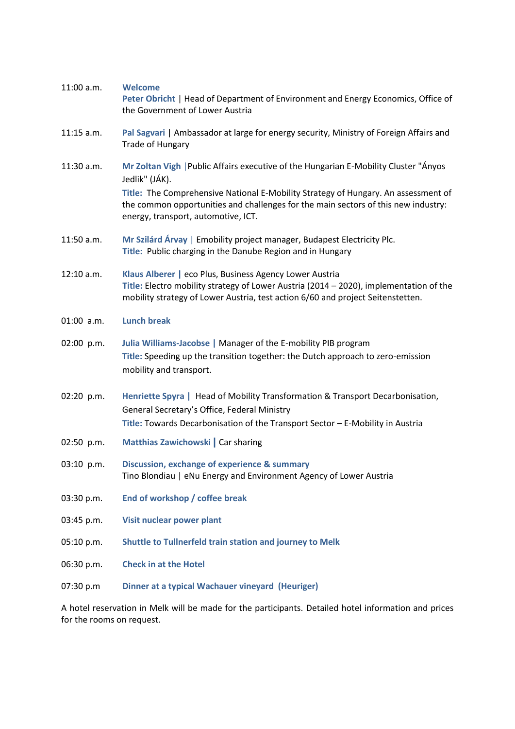| 11:00 a.m.                                                                                           | <b>Welcome</b><br>Peter Obricht   Head of Department of Environment and Energy Economics, Office of<br>the Government of Lower Austria                                                                                               |
|------------------------------------------------------------------------------------------------------|--------------------------------------------------------------------------------------------------------------------------------------------------------------------------------------------------------------------------------------|
| $11:15$ a.m.                                                                                         | Pal Sagvari   Ambassador at large for energy security, Ministry of Foreign Affairs and<br>Trade of Hungary                                                                                                                           |
| 11:30 a.m.                                                                                           | Mr Zoltan Vigh   Public Affairs executive of the Hungarian E-Mobility Cluster "Ányos<br>Jedlik" (JÁK).                                                                                                                               |
|                                                                                                      | Title: The Comprehensive National E-Mobility Strategy of Hungary. An assessment of<br>the common opportunities and challenges for the main sectors of this new industry:<br>energy, transport, automotive, ICT.                      |
| 11:50 a.m.                                                                                           | Mr Szilárd Árvay   Emobility project manager, Budapest Electricity Plc.<br>Title: Public charging in the Danube Region and in Hungary                                                                                                |
| 12:10 a.m.                                                                                           | Klaus Alberer   eco Plus, Business Agency Lower Austria<br>Title: Electro mobility strategy of Lower Austria (2014 - 2020), implementation of the<br>mobility strategy of Lower Austria, test action 6/60 and project Seitenstetten. |
| $01:00$ a.m.                                                                                         | <b>Lunch break</b>                                                                                                                                                                                                                   |
| 02:00 p.m.                                                                                           | Julia Williams-Jacobse   Manager of the E-mobility PIB program<br>Title: Speeding up the transition together: the Dutch approach to zero-emission<br>mobility and transport.                                                         |
| 02:20 p.m.                                                                                           | Henriette Spyra   Head of Mobility Transformation & Transport Decarbonisation,<br>General Secretary's Office, Federal Ministry<br>Title: Towards Decarbonisation of the Transport Sector - E-Mobility in Austria                     |
| 02:50 p.m.                                                                                           | Matthias Zawichowski   Car sharing                                                                                                                                                                                                   |
| 03:10 p.m.                                                                                           | <b>Discussion, exchange of experience &amp; summary</b><br>Tino Blondiau   eNu Energy and Environment Agency of Lower Austria                                                                                                        |
| 03:30 p.m.                                                                                           | End of workshop / coffee break                                                                                                                                                                                                       |
| 03:45 p.m.                                                                                           | Visit nuclear power plant                                                                                                                                                                                                            |
| 05:10 p.m.                                                                                           | Shuttle to Tullnerfeld train station and journey to Melk                                                                                                                                                                             |
| 06:30 p.m.                                                                                           | <b>Check in at the Hotel</b>                                                                                                                                                                                                         |
| 07:30 p.m                                                                                            | Dinner at a typical Wachauer vineyard (Heuriger)                                                                                                                                                                                     |
| A hotel reservation in Melk will be made for the participants. Detailed hotel information and prices |                                                                                                                                                                                                                                      |

for the rooms on request.